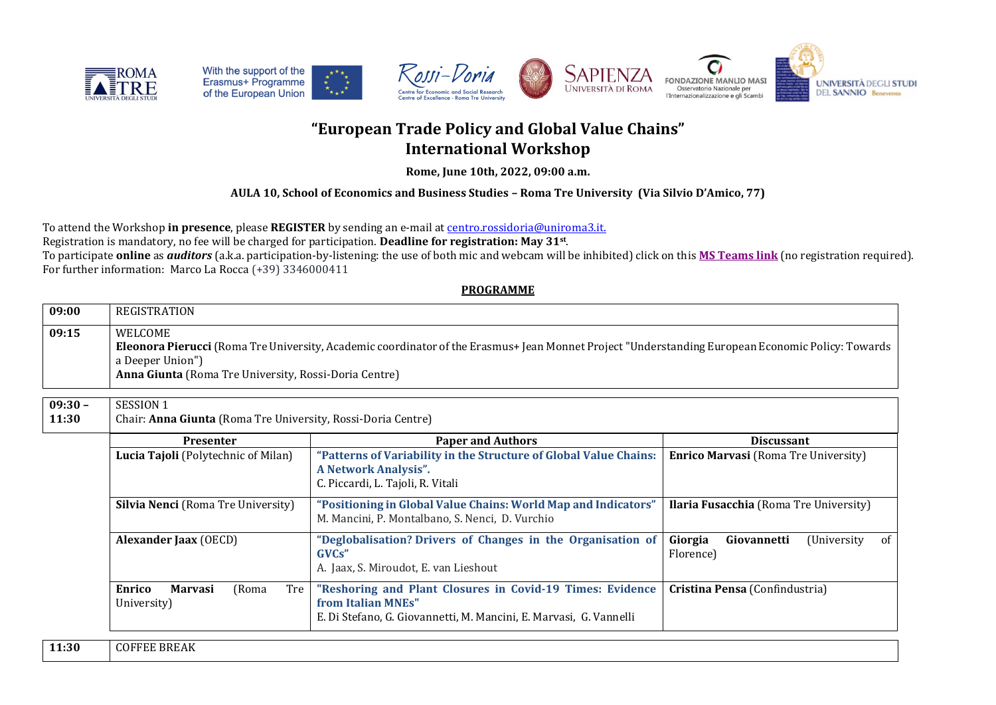









# **"European Trade Policy and Global Value Chains" International Workshop**

**Rome, June 10th, 2022, 09:00 a.m.**

## **AULA 10, School of Economics and Business Studies – Roma Tre University (Via Silvio D'Amico, 77)**

To attend the Workshop **in presence**, please **REGISTER** by sending an e-mail at [centro.rossidoria@uniroma3.it.](mailto:centro.rossidoria@uniroma3.it)

Registration is mandatory, no fee will be charged for participation. **Deadline for registration: May 31st** .

To participate **online** as *auditors* (a.k.a. participation-by-listening: the use of both mic and webcam will be inhibited) click on this **[MS Teams link](https://teams.microsoft.com/l/meetup-join/19%3ameeting_OTVkYTk3MWUtNTEwNy00MjMzLWExZmEtOGI3MDJmNmIxMTc0%40thread.v2/0?context=%7b%22Tid%22%3a%22ffb4df68-f464-458c-a546-00fb3af66f6a%22%2c%22Oid%22%3a%221313bf0a-89f8-4fe5-9f72-35348e15797f%22%7d)** (no registration required). For further information: Marco La Rocca (+39) 3346000411

### **PROGRAMME**

| WELCOME                                                                                                                                           |  |
|---------------------------------------------------------------------------------------------------------------------------------------------------|--|
| Eleonora Pierucci (Roma Tre University, Academic coordinator of the Erasmus+ Jean Monnet Project "Understanding European Economic Policy: Towards |  |
|                                                                                                                                                   |  |
|                                                                                                                                                   |  |
|                                                                                                                                                   |  |

#### **09:30 – 11:30** SESSION 1 Chair: **Anna Giunta** (Roma Tre University, Rossi-Doria Centre)

| <b>Presenter</b>                                        | <b>Paper and Authors</b>                                                                                                                              | <b>Discussant</b>                                        |  |  |
|---------------------------------------------------------|-------------------------------------------------------------------------------------------------------------------------------------------------------|----------------------------------------------------------|--|--|
| Lucia Tajoli (Polytechnic of Milan)                     | "Patterns of Variability in the Structure of Global Value Chains:<br>A Network Analysis".<br>C. Piccardi, L. Tajoli, R. Vitali                        | <b>Enrico Marvasi</b> (Roma Tre University)              |  |  |
| <b>Silvia Nenci</b> (Roma Tre University)               | "Positioning in Global Value Chains: World Map and Indicators"<br>M. Mancini, P. Montalbano, S. Nenci, D. Vurchio                                     | Ilaria Fusacchia (Roma Tre University)                   |  |  |
| <b>Alexander Jaax</b> (OECD)                            | "Deglobalisation? Drivers of Changes in the Organisation of<br>GVCs"<br>A. Jaax, S. Miroudot, E. van Lieshout                                         | Giorgia<br>(University<br>Giovannetti<br>0f<br>Florence) |  |  |
| Enrico<br><b>Marvasi</b><br>Tre<br>(Roma<br>University) | "Reshoring and Plant Closures in Covid-19 Times: Evidence<br>from Italian MNEs"<br>E. Di Stefano, G. Giovannetti, M. Mancini, E. Marvasi, G. Vannelli | Cristina Pensa (Confindustria)                           |  |  |